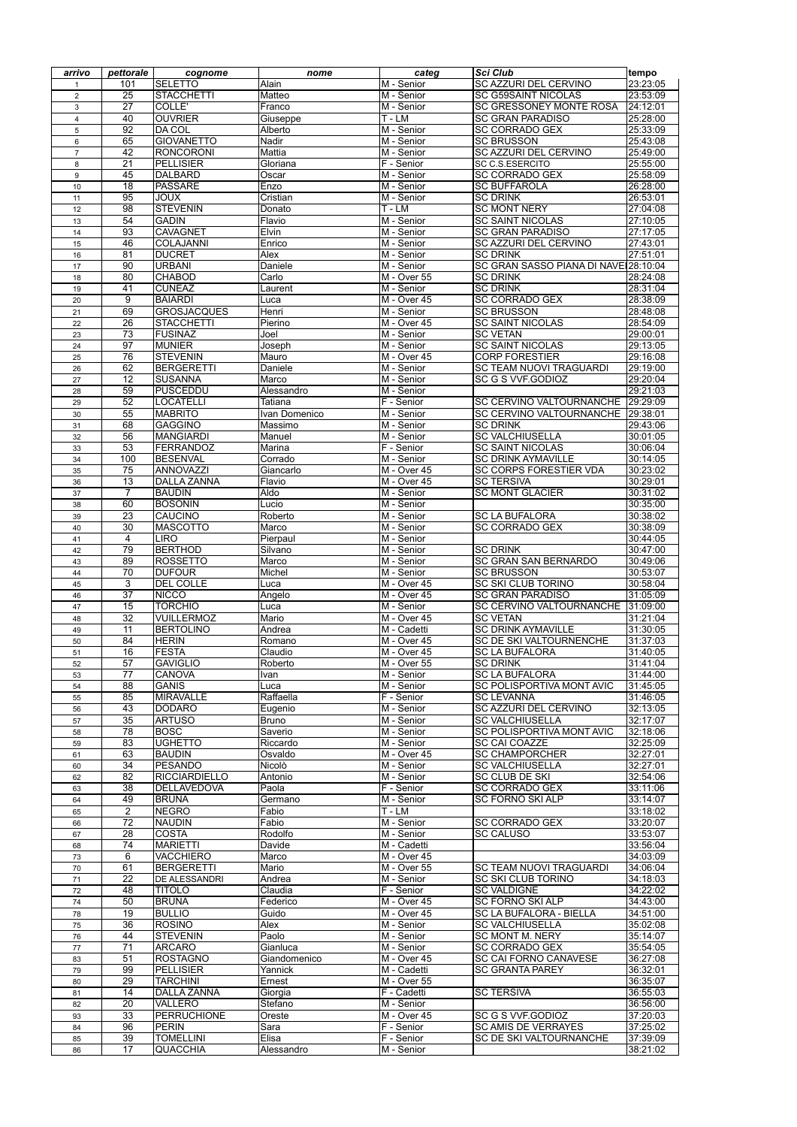| arrivo         | pettorale                          | cognome                                | nome                 | categ                                   | <b>Sci Club</b>                                         | tempo                |
|----------------|------------------------------------|----------------------------------------|----------------------|-----------------------------------------|---------------------------------------------------------|----------------------|
| 1              | 101                                | <b>SELETTO</b>                         | Alain                | M - Senior                              | <b>SC AZZURI DEL CERVINO</b>                            | 23:23:05             |
| $\overline{2}$ | $\overline{25}$                    | <b>STACCHETTI</b>                      | <b>Matteo</b>        | M - Senior                              | <b>SC G59SAINT NICOLAS</b>                              | 23:53:09             |
| 3              | $\overline{27}$                    | <b>COLLE'</b>                          | Franco               | M - Senior                              | <b>SC GRESSONEY MONTE ROSA</b>                          | 24:12:01             |
| 4              | 40<br>92                           | <b>OUVRIER</b><br>DA COL               | Giuseppe<br>Alberto  | T-LM<br>M - Senior                      | <b>SC GRAN PARADISO</b><br><b>SC CORRADO GEX</b>        | 25:28:00<br>25:33:09 |
| 5<br>6         | 65                                 | <b>GIOVANETTO</b>                      | Nadir                | M - Senior                              | <b>SC BRUSSON</b>                                       | 25:43:08             |
| $\overline{7}$ | 42                                 | <b>RONCORONI</b>                       | Mattia               | M - Senior                              | <b>SC AZZURI DEL CERVINO</b>                            | 25:49:00             |
| 8              | $\overline{21}$                    | <b>PELLISIER</b>                       | Gloriana             | F - Senior                              | SC C.S.ESERCITO                                         | 25:55:00             |
| 9              | 45                                 | <b>DALBARD</b>                         | Oscar                | M - Senior                              | <b>SC CORRADO GEX</b>                                   | 25:58:09             |
| 10             | 18                                 | <b>PASSARE</b>                         | Enzo                 | M - Senior                              | <b>SC BUFFAROLA</b>                                     | 26:28:00             |
| 11             | 95                                 | <b>JOUX</b>                            | Cristian             | M - Senior                              | <b>SC DRINK</b>                                         | 26:53:01             |
| 12             | 98                                 | <b>STEVENIN</b>                        | Donato               | T-LM                                    | <b>SC MONT NERY</b>                                     | 27:04:08             |
| 13             | 54                                 | <b>GADIN</b>                           | Flavio               | M - Senior                              | <b>SC SAINT NICOLAS</b>                                 | 27:10:05             |
| 14             | 93<br>46                           | <b>CAVAGNET</b>                        | Elvin                | M - Senior                              | <b>SC GRAN PARADISO</b><br>SC AZZURI DEL CERVINO        | 27:17:05             |
| 15<br>16       | 81                                 | <b>COLAJANNI</b><br><b>DUCRET</b>      | Enrico<br>Alex       | M - Senior<br>M - Senior                | <b>SC DRINK</b>                                         | 27:43:01<br>27:51:01 |
| 17             | 90                                 | <b>URBANI</b>                          | <b>Daniele</b>       | M - Senior                              | SC GRAN SASSO PIANA DI NAVE 28:10:04                    |                      |
| 18             | 80                                 | <b>CHABOD</b>                          | Carlo                | M - Over 55                             | <b>SC DRINK</b>                                         | 28:24:08             |
| 19             | 41                                 | <b>CUNEAZ</b>                          | Laurent              | M - Senior                              | <b>SC DRINK</b>                                         | 28:31:04             |
| 20             | 9                                  | <b>BAIARDI</b>                         | Luca                 | M - Over 45                             | <b>SC CORRADO GEX</b>                                   | 28:38:09             |
| 21             | 69                                 | <b>GROSJACQUES</b>                     | Henri                | M - Senior                              | <b>SC BRUSSON</b>                                       | 28:48:08             |
| 22             | $\overline{26}$                    | <b>STACCHETTI</b>                      | Pierino              | M - Over 45                             | <b>SC SAINT NICOLAS</b>                                 | 28:54:09             |
| 23             | $\overline{73}$                    | <b>FUSINAZ</b>                         | Joel                 | M - Senior                              | <b>SC VETAN</b>                                         | 29:00:01             |
| 24             | 97                                 | <b>MUNIER</b>                          | Joseph               | M - Senior                              | <b>SC SAINT NICOLAS</b>                                 | 29:13:05             |
| 25             | 76<br>62                           | <b>STEVENIN</b><br><b>BERGERETTI</b>   | Mauro                | M - Over 45                             | <b>CORP FORESTIER</b><br><b>SC TEAM NUOVI TRAGUARDI</b> | 29:16:08             |
| 26<br>27       | 12                                 | <b>SUSANNA</b>                         | Daniele<br>Marco     | M - Senior<br>M - Senior                | SC G S VVF.GODIOZ                                       | 29:19:00<br>29:20:04 |
| 28             | 59                                 | <b>PUSCEDDU</b>                        | Alessandro           | M - Senior                              |                                                         | 29:21:03             |
| 29             | 52                                 | <b>LOCATELLI</b>                       | <b>Tatiana</b>       | F - Senior                              | SC CERVINO VALTOURNANCHE                                | 29:29:09             |
| 30             | 55                                 | <b>MABRITO</b>                         | Ivan Domenico        | M - Senior                              | SC CERVINO VALTOURNANCHE                                | 29:38:01             |
| 31             | 68                                 | <b>GAGGINO</b>                         | Massimo              | M - Senior                              | <b>SC DRINK</b>                                         | 29:43:06             |
| 32             | 56                                 | <b>MANGIARDI</b>                       | Manuel               | M - Senior                              | <b>SC VALCHIUSELLA</b>                                  | 30:01:05             |
| 33             | 53                                 | FERRANDOZ                              | Marina               | F - Senior                              | <b>SC SAINT NICOLAS</b>                                 | 30:06:04             |
| 34             | 100                                | <b>BESENVAL</b>                        | Corrado              | M - Senior                              | <b>SC DRINK AYMAVILLE</b>                               | 30:14:05             |
| 35<br>36       | $\overline{75}$<br>$\overline{13}$ | <b>ANNOVAZZI</b><br><b>DALLA ZANNA</b> | Giancarlo<br>Flavio  | M - Over 45<br>M - Over 45              | <b>SC CORPS FORESTIER VDA</b><br><b>SC TERSIVA</b>      | 30:23:02<br>30:29:01 |
| 37             | 7                                  | <b>BAUDIN</b>                          | Aldo                 | M - Senior                              | <b>SC MONT GLACIER</b>                                  | 30:31:02             |
| 38             | 60                                 | <b>BOSONIN</b>                         | Lucio                | M - Senior                              |                                                         | 30:35:00             |
| 39             | $\overline{23}$                    | <b>CAUCINO</b>                         | Roberto              | M - Senior                              | <b>SC LA BUFALORA</b>                                   | 30:38:02             |
| 40             | 30                                 | <b>MASCOTTO</b>                        | Marco                | M - Senior                              | <b>SC CORRADO GEX</b>                                   | 30:38:09             |
| 41             | 4                                  | <b>LIRO</b>                            | Pierpaul             | M - Senior                              |                                                         | 30:44:05             |
| 42             | 79                                 | <b>BERTHOD</b>                         | Silvano              | M - Senior                              | <b>SC DRINK</b>                                         | 30:47:00             |
| 43             | 89                                 | <b>ROSSETTO</b>                        | Marco                | M - Senior                              | <b>SC GRAN SAN BERNARDO</b>                             | 30:49:06             |
| 44             | 70                                 | <b>DUFOUR</b>                          | Michel               | M - Senior                              | <b>SC BRUSSON</b>                                       | 30:53:07             |
| 45<br>46       | 3<br>$\overline{37}$               | <b>DEL COLLE</b><br><b>NICCO</b>       | Luca<br>Angelo       | $\overline{M}$ - Over 45<br>M - Over 45 | <b>SC SKI CLUB TORINO</b><br><b>SC GRAN PARADISO</b>    | 30:58:04<br>31:05:09 |
| 47             | 15                                 | <b>TORCHIO</b>                         | Luca                 | M - Senior                              | <b>SC CERVINO VALTOURNANCHE</b>                         | 31:09:00             |
| 48             | 32                                 | <b>VUILLERMOZ</b>                      | Mario                | M - Over 45                             | <b>SC VETAN</b>                                         | 31:21:04             |
| 49             | 11                                 | <b>BERTOLINO</b>                       | Andrea               | M - Cadetti                             | <b>SC DRINK AYMAVILLE</b>                               | 31:30:05             |
| 50             | 84                                 | <b>HERIN</b>                           | Romano               | M - Over 45                             | <b>SC DE SKI VALTOURNENCHE</b>                          | 31:37:03             |
| 51             | 16                                 | <b>FESTA</b>                           | Claudio              | M - Over 45                             | <b>SC LA BUFALORA</b>                                   | 31:40:05             |
| 52             | 57                                 | <b>GAVIGLIO</b>                        | Roberto              | M - Over 55                             | <b>SC DRINK</b>                                         | 31:41:04             |
| 53             | 77                                 | <b>CANOVA</b>                          | Ivan                 | M - Senior                              | <b>SC LA BUFALORA</b>                                   | 31:44:00             |
| 54             | 88                                 | <b>GANIS</b><br><b>MIRAVALLE</b>       | Luca                 | M - Senior                              | SC POLISPORTIVA MONT AVIC                               | 31:45:05             |
| 55<br>56       | 85<br>43                           | <b>DODARO</b>                          | Raffaella<br>Eugenio | F - Senior<br>M - Senior                | <b>SC LEVANNA</b><br>SC AZZURI DEL CERVINO              | 31:46:05<br>32:13:05 |
| 57             | 35                                 | <b>ARTUSO</b>                          | <b>Bruno</b>         | M - Senior                              | <b>SC VALCHIUSELLA</b>                                  | 32:17:07             |
| 58             | 78                                 | <b>BOSC</b>                            | Saverio              | M - Senior                              | <b>SC POLISPORTIVA MONT AVIC</b>                        | 32:18:06             |
| 59             | 83                                 | <b>UGHETTO</b>                         | Riccardo             | M - Senior                              | <b>SC CAI COAZZE</b>                                    | 32:25:09             |
| 61             | 63                                 | <b>BAUDIN</b>                          | Osvaldo              | M - Over 45                             | <b>SC CHAMPORCHER</b>                                   | 32:27:01             |
| 60             | 34                                 | <b>PESANDO</b>                         | Nicolò               | M - Senior                              | <b>SC VALCHIUSELLA</b>                                  | 32:27:01             |
| 62             | 82                                 | <b>RICCIARDIELLO</b>                   | Antonio              | M - Senior                              | <b>SC CLUB DE SKI</b>                                   | 32:54:06             |
| 63             | 38                                 | <b>DELLAVEDOVA</b>                     | Paola                | F - Senior                              | <b>SC CORRADO GEX</b>                                   | 33:11:06             |
| 64             | 49                                 | <b>BRUNA</b>                           | Germano              | M - Senior                              | <b>SC FORNO SKI ALP</b>                                 | 33:14:07             |
| 65<br>66       | $\overline{2}$<br>$\overline{72}$  | <b>NEGRO</b><br><b>NAUDIN</b>          | Fabio<br>Fabio       | T-LM<br>M - Senior                      | <b>SC CORRADO GEX</b>                                   | 33:18:02<br>33:20:07 |
| 67             | 28                                 | <b>COSTA</b>                           | Rodolfo              | M - Senior                              | <b>SC CALUSO</b>                                        | 33:53:07             |
| 68             | 74                                 | <b>MARIETTI</b>                        | Davide               | M - Cadetti                             |                                                         | 33:56:04             |
| 73             | 6                                  | <b>VACCHIERO</b>                       | Marco                | M - Over 45                             |                                                         | 34:03:09             |
| 70             | 61                                 | <b>BERGERETTI</b>                      | Mario                | M - Over 55                             | <b>SC TEAM NUOVI TRAGUARDI</b>                          | 34:06:04             |
| 71             | $\overline{22}$                    | <b>DE ALESSANDRI</b>                   | Andrea               | M - Senior                              | <b>SC SKI CLUB TORINO</b>                               | 34:18:03             |
| 72             | 48                                 | <b>TITOLO</b>                          | Claudia              | F - Senior                              | <b>SC VALDIGNE</b>                                      | 34:22:02             |
| 74             | 50                                 | <b>BRUNA</b>                           | Federico             | M - Over 45                             | <b>SC FORNO SKI ALP</b>                                 | 34:43:00             |
| ${\bf 78}$     | 19                                 | <b>BULLIO</b>                          | Guido                | M - Over 45                             | SC LA BUFALORA - BIELLA                                 | 34:51:00             |
| 75             | 36<br>44                           | <b>ROSINO</b><br><b>STEVENIN</b>       | Alex<br>Paolo        | M - Senior<br>M - Senior                | <b>SC VALCHIUSELLA</b><br><b>SC MONT M. NERY</b>        | 35:02:08<br>35:14:07 |
| 76<br>77       | $\overline{71}$                    | <b>ARCARO</b>                          | Gianluca             | M - Senior                              | <b>SC CORRADO GEX</b>                                   | 35:54:05             |
| 83             | 51                                 | <b>ROSTAGNO</b>                        | Giandomenico         | M - Over 45                             | <b>SC CAI FORNO CANAVESE</b>                            | 36:27:08             |
| 79             | 99                                 | <b>PELLISIER</b>                       | Yannick              | M - Cadetti                             | <b>SC GRANTA PAREY</b>                                  | 36:32:01             |
| 80             | 29                                 | <b>TARCHINI</b>                        | Ernest               | $\overline{\mathsf{M}}$ - Over 55       |                                                         | 36:35:07             |
| 81             | 14                                 | <b>DALLA ZANNA</b>                     | Giorgia              | F - Cadetti                             | <b>SC TERSIVA</b>                                       | 36:55:03             |
| 82             | 20                                 | <b>VALLERO</b>                         | Stefano              | M - Senior                              |                                                         | 36:56:00             |
| 93             | 33                                 | <b>PERRUCHIONE</b>                     | Oreste               | $\overline{\mathsf{M}}$ - Over 45       | SC G S VVF.GODIOZ                                       | 37:20:03             |
| 84             | 96                                 | PERIN                                  | Sara                 | F - Senior                              | <b>SC AMIS DE VERRAYES</b>                              | 37:25:02             |
| 85             | 39                                 | <b>TOMELLINI</b>                       | Elisa                | F - Senior                              | <b>SC DE SKI VALTOURNANCHE</b>                          | 37:39:09             |
| 86             | 17                                 | <b>QUACCHIA</b>                        | Alessandro           | M - Senior                              |                                                         | 38:21:02             |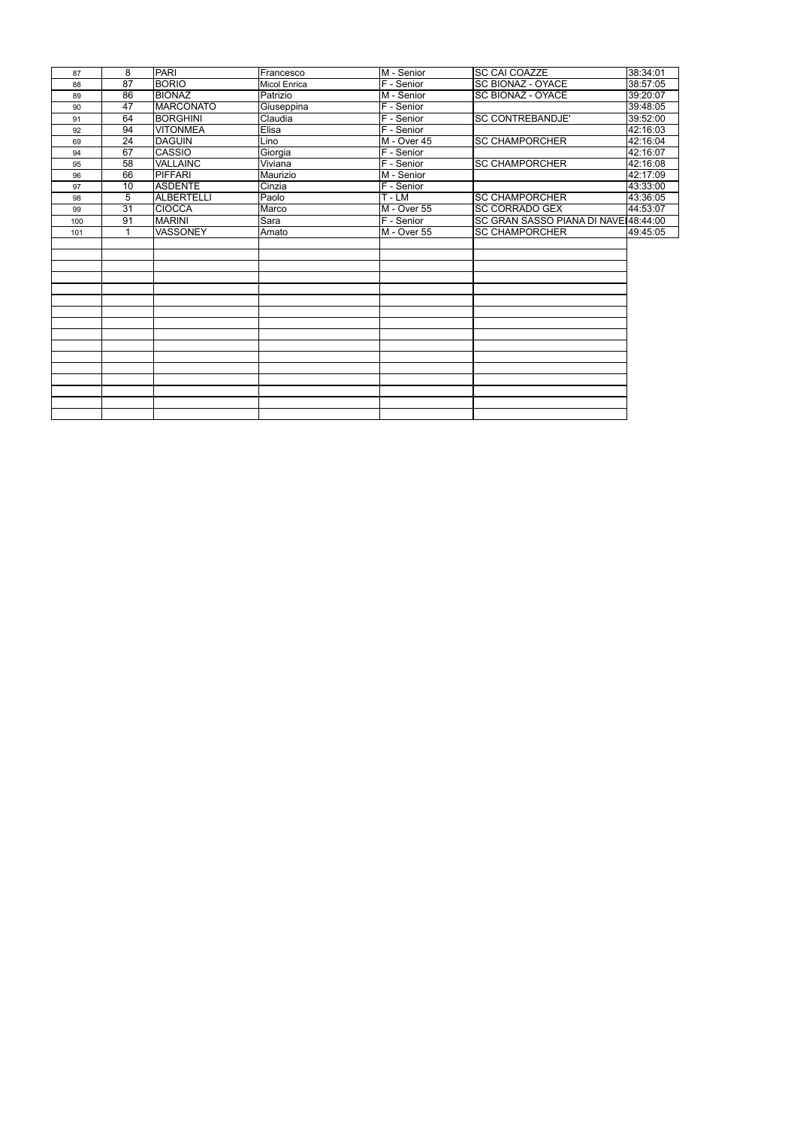| 87  | 8               | <b>PARI</b>      | Francesco           | M - Senior   | <b>SC CAI COAZZE</b>                 | 38:34:01 |
|-----|-----------------|------------------|---------------------|--------------|--------------------------------------|----------|
| 88  | 87              | <b>BORIO</b>     | <b>Micol Enrica</b> | F - Senior   | <b>SC BIONAZ - OYACE</b>             | 38:57:05 |
| 89  | 86              | <b>BIONAZ</b>    | Patrizio            | M - Senior   | <b>SC BIONAZ - OYACE</b>             | 39:20:07 |
| 90  | 47              | <b>MARCONATO</b> | Giuseppina          | F - Senior   |                                      | 39:48:05 |
| 91  | 64              | <b>BORGHINI</b>  | Claudia             | $F -$ Senior | <b>SC CONTREBANDJE'</b>              | 39:52:00 |
| 92  | 94              | <b>VITONMEA</b>  | Elisa               | F - Senior   |                                      | 42:16:03 |
| 69  | 24              | <b>DAGUIN</b>    | Lino                | IM - Over 45 | <b>SC CHAMPORCHER</b>                | 42:16:04 |
| 94  | 67              | <b>CASSIO</b>    | Giorgia             | F - Senior   |                                      | 42:16:07 |
| 95  | 58              | <b>VALLAINC</b>  | Viviana             | $F -$ Senior | <b>SC CHAMPORCHER</b>                | 42:16:08 |
| 96  | 66              | <b>PIFFARI</b>   | Maurizio            | M - Senior   |                                      | 42:17:09 |
| 97  | 10              | ASDENTE          | Cinzia              | $F -$ Senior |                                      | 43:33:00 |
| 98  | $\overline{5}$  | ALBERTELLI       | Paolo               | $T - LM$     | <b>SC CHAMPORCHER</b>                | 43:36:05 |
| 99  | $\overline{31}$ | <b>CIOCCA</b>    | Marco               | IM - Over 55 | <b>SC CORRADO GEX</b>                | 44:53:07 |
| 100 | 91              | <b>MARINI</b>    | Sara                | $F -$ Senior | SC GRAN SASSO PIANA DI NAVE 48:44:00 |          |
| 101 | 1               | <b>VASSONEY</b>  | Amato               | M - Over 55  | <b>SC CHAMPORCHER</b>                | 49:45:05 |
|     |                 |                  |                     |              |                                      |          |
|     |                 |                  |                     |              |                                      |          |
|     |                 |                  |                     |              |                                      |          |
|     |                 |                  |                     |              |                                      |          |
|     |                 |                  |                     |              |                                      |          |
|     |                 |                  |                     |              |                                      |          |
|     |                 |                  |                     |              |                                      |          |
|     |                 |                  |                     |              |                                      |          |
|     |                 |                  |                     |              |                                      |          |
|     |                 |                  |                     |              |                                      |          |
|     |                 |                  |                     |              |                                      |          |
|     |                 |                  |                     |              |                                      |          |
|     |                 |                  |                     |              |                                      |          |
|     |                 |                  |                     |              |                                      |          |
|     |                 |                  |                     |              |                                      |          |
|     |                 |                  |                     |              |                                      |          |
|     |                 |                  |                     |              |                                      |          |